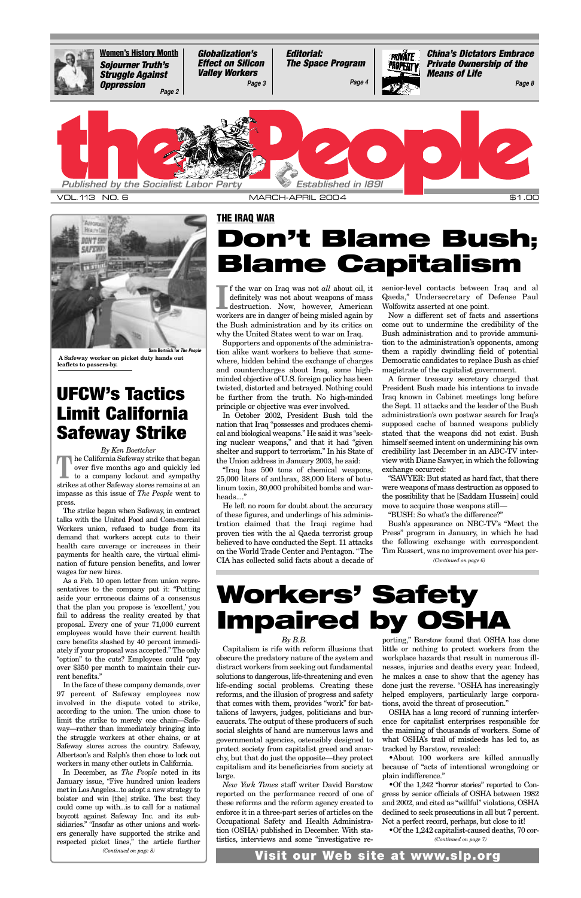If the war on Iraq was not *all* about oil, it definitely was not about weapons of mass destruction. Now, however, American workers are in danger of being misled again by f the war on Iraq was not *all* about oil, it definitely was not about weapons of mass destruction. Now, however, American the Bush administration and by its critics on why the United States went to war on Iraq.

Supporters and opponents of the administration alike want workers to believe that somewhere, hidden behind the exchange of charges and countercharges about Iraq, some highminded objective of U.S. foreign policy has been twisted, distorted and betrayed. Nothing could be further from the truth. No high-minded principle or objective was ever involved.

"Iraq has 500 tons of chemical weapons, 25,000 liters of anthrax, 38,000 liters of botulinum toxin, 30,000 prohibited bombs and warheads...."

In October 2002, President Bush told the nation that Iraq "possesses and produces chemical and biological weapons." He said it was "seeking nuclear weapons," and that it had "given shelter and support to terrorism." In his State of the Union address in January 2003, he said:

He left no room for doubt about the accuracy of these figures, and underlings of his administration claimed that the Iraqi regime had proven ties with the al Qaeda terrorist group believed to have conducted the Sept. 11 attacks on the World Trade Center and Pentagon. "The CIA has collected solid facts about a decade of senior-level contacts between Iraq and al Qaeda," Undersecretary of Defense Paul Wolfowitz asserted at one point.

**The California Safeway strike that began**<br>over five months ago and quickly led<br>to a company lockout and sympathy over five months ago and quickly led to a company lockout and sympathy strikes at other Safeway stores remains at an impasse as this issue of *The People* went to press.

Now a different set of facts and assertions come out to undermine the credibility of the Bush administration and to provide ammunition to the administration's opponents, among them a rapidly dwindling field of potential Democratic candidates to replace Bush as chief magistrate of the capitalist government.

A former treasury secretary charged that President Bush made his intentions to invade Iraq known in Cabinet meetings long before the Sept. 11 attacks and the leader of the Bush administration's own postwar search for Iraq's supposed cache of banned weapons publicly stated that the weapons did not exist. Bush himself seemed intent on undermining his own credibility last December in an ABC-TV interview with Diane Sawyer, in which the following exchange occurred:

"SAWYER: But stated as hard fact, that there were weapons of mass destruction as opposed to the possibility that he [Saddam Hussein] could move to acquire those weapons still—

# **Workers' Safety Impaired by**

"BUSH: So what's the difference?"

## **THE IRAQ WAR Don't Blame Bush; Blame Capitalism**

#### *By Ken Boettcher*

The strike began when Safeway, in contract talks with the United Food and Com-mercial Workers union, refused to budge from its demand that workers accept cuts to their health care coverage or increases in their payments for health care, the virtual elimination of future pension benefits, and lower wages for new hires.

As a Feb. 10 open letter from union representatives to the company put it: "Putting aside your erroneous claims of a consensus that the plan you propose is 'excellent,' you fail to address the reality created by that proposal. Every one of your 71,000 current employees would have their current health care benefits slashed by 40 percent immediately if your proposal was accepted." The only "option" to the cuts? Employees could "pay

over \$350 per month to maintain their current benefits."

In the face of these company demands, over 97 percent of Safeway employees now involved in the dispute voted to strike, according to the union. The union chose to limit the strike to merely one chain—Safeway—rather than immediately bringing into the struggle workers at other chains, or at Safeway stores across the country. Safeway, Albertson's and Ralph's then chose to lock out workers in many other outlets in California.

Bush's appearance on NBC-TV's "Meet the Press" program in January, in which he had the following exchange with correspondent Tim Russert, was no improvement over his per-*(Continued on page 6)*

### **UFCW's Tactics Limit California Safeway Strike**



#### *By B.B.*

obscure the predatory nature of the system and workplace hazards that result in numerous illdistract workers from seeking out fundamental solutions to dangerous, life-threatening and even life-ending social problems. Creating these reforms, and the illusion of progress and safety that comes with them, provides "work" for battalions of lawyers, judges, politicians and bureaucrats. The output of these producers of such social sleights of hand are numerous laws and governmental agencies, ostensibly designed to protect society from capitalist greed and anarchy, but that do just the opposite—they protect capitalism and its beneficiaries from society at large. *New York Times* staff writer David Barstow reported on the performance record of one of these reforms and the reform agency created to enforce it in a three-part series of articles on the Occupational Safety and Health Administration (OSHA) published in December. With statistics, interviews and some "investigative re-

Capitalism is rife with reform illusions that little or nothing to protect workers from the porting," Barstow found that OSHA has done nesses, injuries and deaths every year. Indeed, he makes a case to show that the agency has done just the reverse. "OSHA has increasingly helped employers, particularly large corporations, avoid the threat of prosecution." OSHA has a long record of running interference for capitalist enterprises responsible for the maiming of thousands of workers. Some of what OSHA's trail of misdeeds has led to, as tracked by Barstow, revealed:

In December, as *The People* noted in its January issue, "Five hundred union leaders met in Los Angeles...to adopt a new strategy to bolster and win [the] strike. The best they could come up with...is to call for a national boycott against Safeway Inc. and its subsidiaries." "Insofar as other unions and workers generally have supported the strike and respected picket lines," the article further *(Continued on page 8)*

•About 100 workers are killed annually because of "acts of intentional wrongdoing or plain indifference."

•Of the 1,242 "horror stories" reported to Congress by senior officials of OSHA between 1982 and 2002, and cited as "willful" violations, OSHA declined to seek prosecutions in all but 7 percent. Not a perfect record, perhaps, but close to it!

•Of the 1,242 capitalist-caused deaths, 70 cor-

*(Continued on page 7)*

### **Visit our Web site at www.slp.org**



**A Safeway worker on picket duty hands out leaflets to passers-by. Sam Bortnick for** *The People*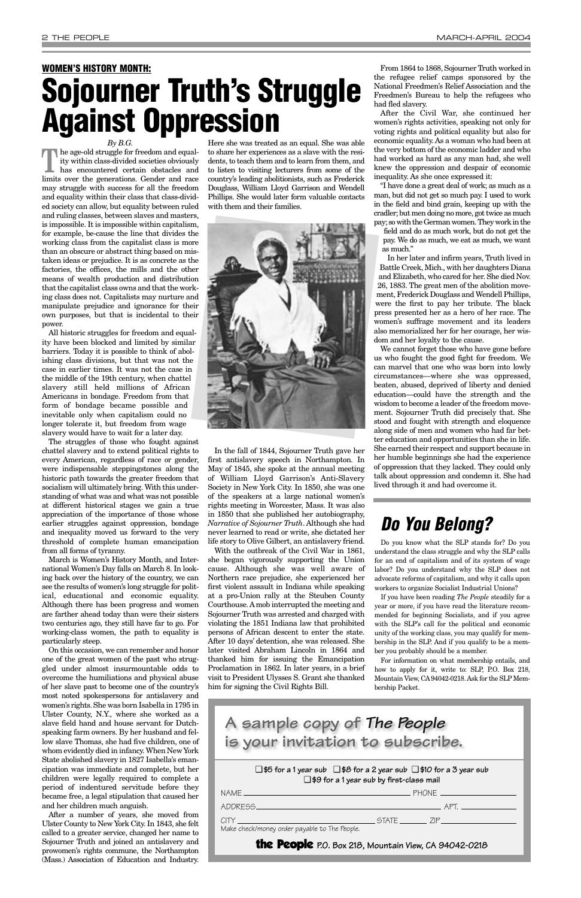*By B.G.*<br>he age-old struggle for freedom and equal-The age-old struggle for freedom and equality within class-divided societies obviously has encountered certain obstacles and ity within class-divided societies obviously has encountered certain obstacles and limits over the generations. Gender and race may struggle with success for all the freedom and equality within their class that class-divided society can allow, but equality between ruled and ruling classes, between slaves and masters, is impossible. It is impossible within capitalism, for example, be-cause the line that divides the working class from the capitalist class is more than an obscure or abstract thing based on mistaken ideas or prejudice. It is as concrete as the factories, the offices, the mills and the other means of wealth production and distribution that the capitalist class owns and that the working class does not. Capitalists may nurture and manipulate prejudice and ignorance for their own purposes, but that is incidental to their power.

All historic struggles for freedom and equality have been blocked and limited by similar barriers. Today it is possible to think of abolishing class divisions, but that was not the case in earlier times. It was not the case in the middle of the 19th century, when chattel slavery still held millions of African Americans in bondage. Freedom from that form of bondage became possible and inevitable only when capitalism could no longer tolerate it, but freedom from wage slavery would have to wait for a later day.

The struggles of those who fought against chattel slavery and to extend political rights to every American, regardless of race or gender, were indispensable steppingstones along the historic path towards the greater freedom that socialism will ultimately bring. With this understanding of what was and what was not possible at different historical stages we gain a true appreciation of the importance of those whose earlier struggles against oppression, bondage and inequality moved us forward to the very threshold of complete human emancipation from all forms of tyranny.

March is Women's History Month, and International Women's Day falls on March 8. In looking back over the history of the country, we can see the results of women's long struggle for political, educational and economic equality. Although there has been progress and women are farther ahead today than were their sisters two centuries ago, they still have far to go. For working-class women, the path to equality is particularly steep.

On this occasion, we can remember and honor one of the great women of the past who struggled under almost insurmountable odds to overcome the humiliations and physical abuse of her slave past to become one of the country's most noted spokespersons for antislavery and women's rights. She was born Isabella in 1795 in Ulster County, N.Y., where she worked as a slave field hand and house servant for Dutchspeaking farm owners. By her husband and fellow slave Thomas, she had five children, one of whom evidently died in infancy. When New York State abolished slavery in 1827 Isabella's emancipation was immediate and complete, but her children were legally required to complete a period of indentured servitude before they became free, a legal stipulation that caused her and her children much anguish.

After a number of years, she moved from Ulster County to New York City. In 1843, she felt called to a greater service, changed her name to Sojourner Truth and joined an antislavery and prowomen's rights commune, the Northampton (Mass.) Association of Education and Industry.

Here she was treated as an equal. She was able to share her experiences as a slave with the residents, to teach them and to learn from them, and to listen to visiting lecturers from some of the country's leading abolitionists, such as Frederick Douglass, William Lloyd Garrison and Wendell Phillips. She would later form valuable contacts with them and their families.



In the fall of 1844, Sojourner Truth gave her first antislavery speech in Northampton. In May of 1845, she spoke at the annual meeting of William Lloyd Garrison's Anti-Slavery Society in New York City. In 1850, she was one of the speakers at a large national women's rights meeting in Worcester, Mass. It was also in 1850 that she published her autobiography, *Narrative of Sojourner Truth*. Although she had never learned to read or write, she dictated her life story to Olive Gilbert, an antislavery friend.

With the outbreak of the Civil War in 1861, she began vigorously supporting the Union cause. Although she was well aware of Northern race prejudice, she experienced her first violent assault in Indiana while speaking at a pro-Union rally at the Steuben County Courthouse. Amob interrupted the meeting and Sojourner Truth was arrested and charged with violating the 1851 Indiana law that prohibited persons of African descent to enter the state. After 10 days' detention, she was released. She later visited Abraham Lincoln in 1864 and thanked him for issuing the Emancipation Proclamation in 1862. In later years, in a brief visit to President Ulysses S. Grant she thanked him for signing the Civil Rights Bill.

From 1864 to 1868, Sojourner Truth worked in the refugee relief camps sponsored by the National Freedmen's Relief Association and the Freedmen's Bureau to help the refugees who had fled slavery.

After the Civil War, she continued her women's rights activities, speaking not only for voting rights and political equality but also for economic equality. As a woman who had been at the very bottom of the economic ladder and who had worked as hard as any man had, she well knew the oppression and despair of economic inequality. As she once expressed it:

"I have done a great deal of work; as much as a man, but did not get so much pay. I used to work in the field and bind grain, keeping up with the cradler; but men doing no more, got twice as much pay; so with the German women. They work in the

field and do as much work, but do not get the pay. We do as much, we eat as much, we want as much."

In her later and infirm years, Truth lived in Battle Creek, Mich., with her daughters Diana and Elizabeth, who cared for her. She died Nov. 26, 1883. The great men of the abolition movement, Frederick Douglass and Wendell Phillips, were the first to pay her tribute. The black press presented her as a hero of her race. The women's suffrage movement and its leaders also memorialized her for her courage, her wisdom and her loyalty to the cause.

We cannot forget those who have gone before us who fought the good fight for freedom. We can marvel that one who was born into lowly circumstances—where she was oppressed, beaten, abused, deprived of liberty and denied education—could have the strength and the wisdom to become a leader of the freedom movement. Sojourner Truth did precisely that. She stood and fought with strength and eloquence along side of men and women who had far better education and opportunities than she in life. She earned their respect and support because in her humble beginnings she had the experience of oppression that they lacked. They could only talk about oppression and condemn it. She had lived through it and had overcome it.

## *Do You Belong?*

Do you know what the SLP stands for? Do you understand the class struggle and why the SLP calls for an end of capitalism and of its system of wage labor? Do you understand why the SLP does not advocate reforms of capitalism, and why it calls upon workers to organize Socialist Industrial Unions?

If you have been reading *The People* steadily for a year or more, if you have read the literature recommended for beginning Socialists, and if you agree with the SLP's call for the political and economic unity of the working class, you may qualify for membership in the SLP. And if you qualify to be a member you probably should be a member.

For information on what membership entails, and

how to apply for it, write to: SLP, P.O. Box 218, Mountain View, CA94042-0218. Ask for the SLP Membership Packet.

# **WOMEN'S HISTORY MONTH: Sojourner Truth's Struggle Against Oppression**

❑ **\$5 for a 1 year sub** ❑ **\$8 for a 2 year sub** ❑ **\$10 for a 3 year sub** ❑ **\$9 for a 1 year sub by first-class mail**

| NAME _                                                                      | $PHONE$ ________ |
|-----------------------------------------------------------------------------|------------------|
| ADDRESS_<br>the contract of the contract of the contract of the contract of | APT              |
| CITY                                                                        | STATF 71P        |

Make check/money order payable to The People.

the People **P.O. Box 218, Mountain View, CA 94042-0218**

### **A sample copy of** *The People* **is your invitation to subscribe.**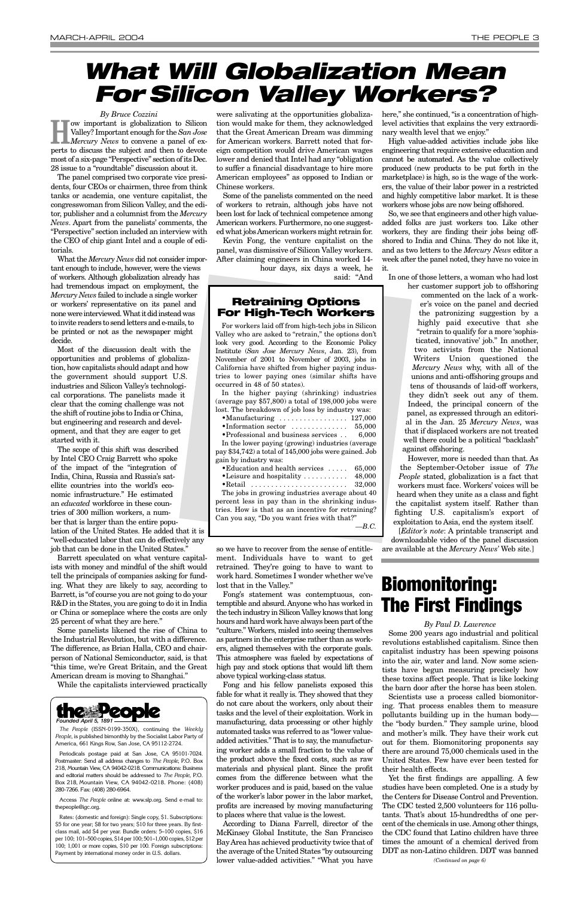*By Bruce Cozzini* **How important is globalization to Silicon**<br> *Mercury News to convene a panel of ex-*<br> *Mercury News to convene a panel of ex-*Valley? Important enough for the *San Jose* perts to discuss the subject and then to devote most of a six-page "Perspective" section of its Dec. 28 issue to a "roundtable" discussion about it.

The panel comprised two corporate vice presidents, four CEOs or chairmen, three from think tanks or academia, one venture capitalist, the congresswoman from Silicon Valley, and the editor, publisher and a columnist from the *Mercury News*. Apart from the panelists' comments, the "Perspective" section included an interview with the CEO of chip giant Intel and a couple of editorials.

What the *Mercury News* did not consider important enough to include, however, were the views of workers. Although globalization already has had tremendous impact on employment, the *Mercury News* failed to include a single worker or workers' representative on its panel and none were interviewed. What it did insteadwas to invite readers to send letters and e-mails, to be printed or not as the newspaper might decide.

Most of the discussion dealt with the opportunities and problems of globalization, how capitalists should adapt and how the government should support U.S. industries and Silicon Valley's technological corporations. The panelists made it clear that the coming challenge was not the shift of routine jobs to India or China, but engineering and research and development, and that they are eager to get started with it.

The scope of this shift was described by Intel CEO Craig Barrett who spoke of the impact of the "integration of India, China, Russia and Russia's satellite countries into the world's economic infrastructure." He estimated an *educated* workforce in these countries of 300 million workers, a number that is larger than the entire population of the United States. He added that it is "well-educated labor that can do effectively any job that can be done in the United States."

Barrett speculated on what venture capitalists with money and mindful of the shift would tell the principals of companies asking for funding. What they are likely to say, according to Barrett, is "of course you are not going to do your R&D in the States, you are going to do it in India or China or someplace where the costs are only 25 percent of what they are here."

Some panelists likened the rise of China to the Industrial Revolution, but with a difference. The difference, as Brian Halla, CEO and chairperson of National Semiconductor, said, is that "this time, we're Great Britain, and the Great American dream is moving to Shanghai." While the capitalists interviewed practically

here," she continued, "is a concentration of highlevel activities that explains the very extraordinary wealth level that we enjoy."

were salivating at the opportunities globalization would make for them, they acknowledged that the Great American Dream was dimming for American workers. Barrett noted that foreign competition would drive American wages lower and denied that Intel had any "obligation to suffer a financial disadvantage to hire more American employees" as opposed to Indian or Chinese workers.

Some of the panelists commented on the need of workers to retrain, although jobs have not been lost for lack of technical competence among American workers. Furthermore, no one suggested what jobs American workers might retrain for.

Kevin Fong, the venture capitalist on the panel, was dismissive of Silicon Valley workers. After claiming engineers in China worked 14-

hour days, six days a week, he said: "And

so we have to recover from the sense of entitlement. Individuals have to want to get retrained. They're going to have to want to work hard. Sometimes I wonder whether we've lost that in the Valley."

Fong's statement was contemptuous, contemptible and absurd. Anyone who has worked in the tech industry in Silicon Valley knows that long hours and hard work have always been part of the "culture." Workers, misled into seeing themselves as partners in the enterprise rather than as workers, aligned themselves with the corporate goals. This atmosphere was fueled by expectations of high pay and stock options that would lift them above typical working-class status. Fong and his fellow panelists exposed this fable for what it really is. They showed that they do not care about the workers, only about their tasks and the level of their exploitation. Work in manufacturing, data processing or other highly automated tasks was referred to as "lower valueadded activities." That is to say, the manufacturing worker adds a small fraction to the value of the product above the fixed costs, such as raw materials and physical plant. Since the profit comes from the difference between what the worker produces and is paid, based on the value of the worker's labor power in the labor market, profits are increased by moving manufacturing to places where that value is the lowest. According to Diana Farrell, director of the McKinsey Global Institute, the San Francisco Bay Area has achieved productivity twice that of the average of the United States "by outsourcing lower value-added activities." "What you have

High value-added activities include jobs like engineering that require extensive education and cannot be automated. As the value collectively produced (new products to be put forth in the marketplace) is high, so is the wage of the workers, the value of their labor power in a restricted and highly competitive labor market. It is these workers whose jobs are now being offshored.

So, we see that engineers and other high valueadded folks are just workers too. Like other workers, they are finding their jobs being offshored to India and China. They do not like it, and as two letters to the *Mercury News* editor a week after the panel noted, they have no voice in it.

In one of those letters, a woman who had lost

her customer support job to offshoring commented on the lack of a worker's voice on the panel and decried the patronizing suggestion by a highly paid executive that she "retrain to qualify for a more 'sophisticated, innovative' job." In another, two activists from the National Writers Union questioned the *Mercury News* why, with all of the unions and anti-offshoring groups and tens of thousands of laid-off workers, they didn't seek out any of them. Indeed, the principal concern of the panel, as expressed through an editorial in the Jan. 25 *Mercury News*, was that if displaced workers are not treated well there could be a political "backlash" against offshoring.

However, more is needed than that. As the September-October issue of *The People* stated, globalization is a fact that workers must face. Workers' voices will be heard when they unite as a class and fight the capitalist system itself. Rather than fighting U.S. capitalism's export of exploitation to Asia, end the system itself.

[*Editor's note*: A printable transcript and downloadable video of the panel discussion are available at the *Mercury News'* Web site.]

# *What Will Globalization Mean For Silicon Valley Workers?*

#### *By Paul D. Lawrence*

Some 200 years ago industrial and political revolutions established capitalism. Since then capitalist industry has been spewing poisons into the air, water and land. Now some scientists have begun measuring precisely how these toxins affect people. That is like locking the barn door after the horse has been stolen. Scientists use a process called biomonitoring. That process enables them to measure pollutants building up in the human body the "body burden." They sample urine, blood and mother's milk. They have their work cut out for them. Biomonitoring proponents say there are around 75,000 chemicals used in the United States. Few have ever been tested for their health effects. Yet the first findings are appalling. A few studies have been completed. One is a study by the Centers for Disease Control and Prevention. The CDC tested 2,500 volunteers for 116 pollutants. That's about 15-hundredths of one percent of the chemicals in use. Among other things, the CDC found that Latino children have three times the amount of a chemical derived from DDT as non-Latino children. DDT was banned

### **Retraining Options For High-Tech Workers**

For workers laid off from high-tech jobs in Silicon Valley who are asked to "retrain," the options don't look very good. According to the Economic Policy Institute (*San Jose Mercury News*, Jan. 23), from November of 2001 to November of 2003, jobs in California have shifted from higher paying industries to lower paying ones (similar shifts have occurred in 48 of 50 states).

In the higher paying (shrinking) industries (average pay \$57,800) a total of 198,000 jobs were lost. The breakdown of job loss by industry was:

| • Manufacturing $\ldots \ldots \ldots \ldots \ldots 127,000$    |  |
|-----------------------------------------------------------------|--|
| •Information sector $\dots\dots\dots\dots \dots$ 55,000         |  |
| $\bullet$ Professional and business services 6,000              |  |
| In the lower paying (growing) industries (average               |  |
| pay \$34,742) a total of 145,000 jobs were gained. Job          |  |
| gain by industry was:                                           |  |
| • Education and health services<br>65,000                       |  |
| 48,000<br>$\bullet$ Leisure and hospitality $\dots \dots \dots$ |  |
| 32,000<br>$\bullet$ Retail                                      |  |
| The jobs in growing industries average about 40                 |  |
| percent less in pay than in the shrinking indus-                |  |
| tries. How is that as an incentive for retraining?              |  |
| Can you say, "Do you want fries with that?"                     |  |
| -B.C.                                                           |  |



*The People* (ISSN-0199-350X), continuing the *Weekly People*, is published bimonthly by the Socialist Labor Party of America, 661 Kings Row, San Jose, CA 95112-2724.

Periodicals postage paid at San Jose, CA 95101-7024. Postmaster: Send all address changes to *The People*, P.O. Box 218, Mountain View, CA 94042-0218. Communications: Business and editorial matters should be addressed to *The People*, P.O. Box 218, Mountain View, CA 94042-0218. Phone: (408) 280-7266. Fax: (408) 280-6964.

Access *The People* online at: www.slp.org. Send e-mail to: thepeople@igc.org.

Rates: (domestic and foreign): Single copy, \$1. Subscriptions: \$5 for one year; \$8 for two years; \$10 for three years. By firstclass mail, add \$4 per year. Bundle orders: 5–100 copies, \$16 per 100; 101–500 copies, \$14 per 100; 501–1,000 copies, \$12 per 100; 1,001 or more copies, \$10 per 100. Foreign subscriptions: Payment by international money order in U.S. dollars.

## **Biomonitoring: The First Findings**

*(Continued on page 6)*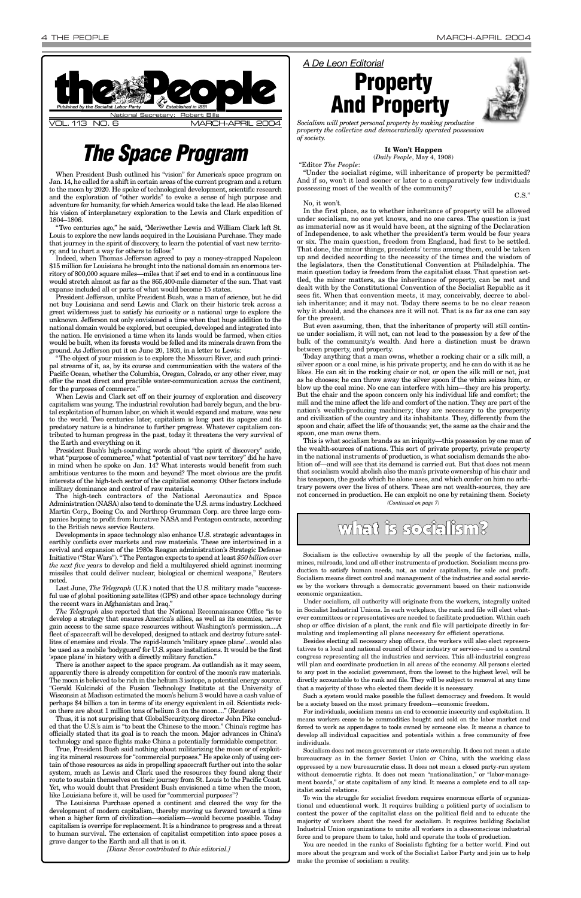When President Bush outlined his "vision" for America's space program on Jan. 14, he called for a shift in certain areas of the current program and a return to the moon by 2020. He spoke of technological development, scientific research and the exploration of "other worlds" to evoke a sense of high purpose and adventure for humanity, for which America would take the lead. He also likened his vision of interplanetary exploration to the Lewis and Clark expedition of 1804–1806.

"Two centuries ago," he said, "Meriwether Lewis and William Clark left St. Louis to explore the new lands acquired in the Louisiana Purchase. They made that journey in the spirit of discovery, to learn the potential of vast new territory, and to chart a way for others to follow."

Indeed, when Thomas Jefferson agreed to pay a money-strapped Napoleon \$15 million for Louisiana he brought into the national domain an enormous territory of 800,000 square miles—miles that if set end to end in a continuous line would stretch almost as far as the 865,400-mile diameter of the sun. That vast expanse included all or parts of what would become 15 states.

President Jefferson, unlike President Bush, was a man of science, but he did not buy Louisiana and send Lewis and Clark on their historic trek across a great wilderness just to satisfy his curiosity or a national urge to explore the unknown. Jefferson not only envisioned a time when that huge addition to the national domain would be explored, but occupied, developed and integrated into the nation. He envisioned a time when its lands would be farmed, when cities would be built, when its forests would be felled and its minerals drawn from the ground. As Jefferson put it on June 20, 1803, in a letter to Lewis:

Last June, *The Telegraph* (U.K.) noted that the U.S. military made "successful use of global positioning satellites (GPS) and other space technology during the recent wars in Afghanistan and Iraq.'

"The object of your mission is to explore the Missouri River, and such principal streams of it, as, by its course and communication with the waters of the Pacific Ocean, whether the Columbia, Oregan, Colrado, or any other river, may offer the most direct and practible water-communication across the continent, for the purposes of commerce."

When Lewis and Clark set off on their journey of exploration and discovery capitalism was young. The industrial revolution had barely begun, and the brutal exploitation of human labor, on which it would expand and mature, was new to the world. Two centuries later, capitalism is long past its apogee and its predatory nature is a hindrance to further progress. Whatever capitalism contributed to human progress in the past, today it threatens the very survival of the Earth and everything on it.

President Bush's high-sounding words about "the spirit of discovery" aside, what "purpose of commerce," what "potential of vast new territory" did he have in mind when he spoke on Jan. 14? What interests would benefit from such ambitious ventures to the moon and beyond? The most obvious are the profit interests of the high-tech sector of the capitalist economy. Other factors include military dominance and control of raw materials.

The high-tech contractors of the National Aeronautics and Space Administration (NASA) also tend to dominate the U.S. arms industry. Lockheed Martin Corp., Boeing Co. and Northrop Grumman Corp. are three large companies hoping to profit from lucrative NASA and Pentagon contracts, according to the British news service Reuters.

Developments in space technology also enhance U.S. strategic advantages in earthly conflicts over markets and raw materials. These are intertwined in a revival and expansion of the 1980s Reagan administration's Strategic Defense Initiative ("Star Wars"). "The Pentagon expects to spend at least *\$50 billion over the next five years* to develop and field a multilayered shield against incoming missiles that could deliver nuclear, biological or chemical weapons," Reuters noted.

*The Telegraph* also reported that the National Reconnaissance Office "is to develop a strategy that ensures America's allies, as well as its enemies, never gain access to the same space resources without Washington's permission....A fleet of spacecraft will be developed, designed to attack and destroy future satellites of enemies and rivals. The rapid-launch 'military space plane'...would also be used as a mobile 'bodyguard' for U.S. space installations. It would be the first 'space plane' in history with a directly military function."



There is another aspect to the space program. As outlandish as it may seem, apparently there is already competition for control of the moon's raw materials. The moon is believed to be rich in the helium 3 isotope, a potential energy source. "Gerald Kulcinski of the Fusion Technology Institute at the University of Wisconsin at Madison estimated the moon's helium 3 would have a cash value of perhaps \$4 billion a ton in terms of its energy equivalent in oil. Scientists reckon there are about 1 million tons of helium 3 on the moon...." (Reuters) Thus, it is not surprising that GlobalSecurity.org director John Pike concluded that the U.S.'s aim is "to beat the Chinese to the moon." China's regime has officially stated that its goal is to reach the moon. Major advances in China's technology and space flights make China a potentially formidable competitor. True, President Bush said nothing about militarizing the moon or of exploiting its mineral resources for "commercial purposes." He spoke only of using certain of those resources as aids in propelling spacecraft further out into the solar system, much as Lewis and Clark used the resources they found along their route to sustain themselves on their journey from St. Louis to the Pacific Coast. Yet, who would doubt that President Bush envisioned a time when the moon, like Louisiana before it, will be used for "commercial purposes"? The Louisiana Purchase opened a continent and cleared the way for the development of modern capitalism, thereby moving us forward toward a time when a higher form of civilization—socialism—would become possible. Today capitalism is overripe for replacement. It is a hindrance to progress and a threat to human survival. The extension of capitalist competition into space poses a grave danger to the Earth and all that is on it.

*[Diane Secor contributed to this editorial.]*

**It Won't Happen** (*Daily People*, May 4, 1908)

"Editor *The People*: "Under the socialist régime, will inheritance of property be permitted? And if so, won't it lead sooner or later to a comparatively few individuals possessing most of the wealth of the community? C.S."

No, it won't.

In the first place, as to whether inheritance of property will be allowed under socialism, no one yet knows, and no one cares. The question is just as immaterial now as it would have been, at the signing of the Declaration of Independence, to ask whether the president's term would be four years or six. The main question, freedom from England, had first to be settled. That done, the minor things, presidents' terms among them, could be taken up and decided according to the necessity of the times and the wisdom of the legislators, then the Constitutional Convention at Philadelphia. The main question today is freedom from the capitalist class. That question settled, the minor matters, as the inheritance of property, can be met and dealt with by the Constitutional Convention of the Socialist Republic as it sees fit. When that convention meets, it may, conceivably, decree to abolish inheritance; and it may not. Today there seems to be no clear reason why it should, and the chances are it will not. That is as far as one can say for the present.

But even assuming, then, that the inheritance of property will still continue under socialism, it will not, can not lead to the possession by a few of the bulk of the community's wealth. And here a distinction must be drawn between property, and property.

Today anything that a man owns, whether a rocking chair or a silk mill, a silver spoon or a coal mine, is his private property, and he can do with it as he likes. He can sit in the rocking chair or not, or open the silk mill or not, just as he chooses; he can throw away the silver spoon if the whim seizes him, or blow up the coal mine. No one can interfere with him—they are his property. But the chair and the spoon concern only his individual life and comfort; the mill and the mine affect the life and comfort of the nation. They are part of the nation's wealth-producing machinery; they are necessary to the prosperity and civilization of the country and its inhabitants. They, differently from the spoon and chair, affect the life of thousands; yet, the same as the chair and the spoon, one man owns them.

# *The Space Program*

*A De Leon Editorial*





*Socialism will protect personal property by making productive property the collective and democratically operated possession of society.*

Socialism is the collective ownership by all the people of the factories, mills, mines, railroads, land and all other instruments of production. Socialism means production to satisfy human needs, not, as under capitalism, for sale and profit. Socialism means direct control and management of the industries and social services by the workers through a democratic government based on their nationwide economic organization.

Under socialism, all authority will originate from the workers, integrally united in Socialist Industrial Unions. In each workplace, the rank and file will elect whatever committees or representatives are needed to facilitate production. Within each shop or office division of a plant, the rank and file will participate directly in formulating and implementing all plans necessary for efficient operations.

This is what socialism brands as an iniquity—this possession by one man of the wealth-sources of nations. This sort of private property, private property in the national instruments of production, is what socialism demands the abolition of—and will see that its demand is carried out. But that does not mean that socialism would abolish also the man's private ownership of his chair and his teaspoon, the goods which he alone uses, and which confer on him no arbitrary powers over the lives of others. These are not wealth-sources, they are not concerned in production. He can exploit no one by retaining them. Society *(Continued on page 7)*

# what is socialism?

Besides electing all necessary shop officers, the workers will also elect representatives to a local and national council of their industry or service—and to a central congress representing all the industries and services. This all-industrial congress will plan and coordinate production in all areas of the economy. All persons elected to any post in the socialist government, from the lowest to the highest level, will be directly accountable to the rank and file. They will be subject to removal at any time that a majority of those who elected them decide it is necessary.

Such a system would make possible the fullest democracy and freedom. It would be a society based on the most primary freedom—economic freedom.

For individuals, socialism means an end to economic insecurity and exploitation. It means workers cease to be commodities bought and sold on the labor market and forced to work as appendages to tools owned by someone else. It means a chance to develop all individual capacities and potentials within a free community of free individuals.

Socialism does not mean government or state ownership. It does not mean a state bureaucracy as in the former Soviet Union or China, with the working class oppressed by a new bureaucratic class. It does not mean a closed party-run system without democratic rights. It does not mean "nationalization," or "labor-management boards," or state capitalism of any kind. It means a complete end to all capitalist social relations.

To win the struggle for socialist freedom requires enormous efforts of organizational and educational work. It requires building a political party of socialism to contest the power of the capitalist class on the political field and to educate the majority of workers about the need for socialism. It requires building Socialist Industrial Union organizations to unite all workers in a classconscious industrial force and to prepare them to take, hold and operate the tools of production.

You are needed in the ranks of Socialists fighting for a better world. Find out more about the program and work of the Socialist Labor Party and join us to help make the promise of socialism a reality.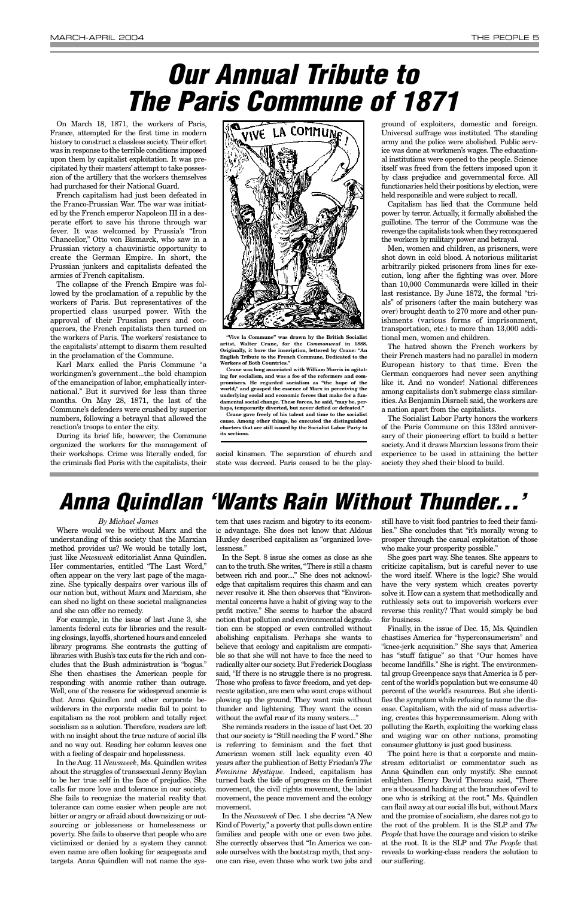On March 18, 1871, the workers of Paris, France, attempted for the first time in modern history to construct a classless society. Their effort was in response to the terrible conditions imposed upon them by capitalist exploitation. It was precipitated by their masters'attempt to take possession of the artillery that the workers themselves had purchased for their National Guard.

French capitalism had just been defeated in the Franco-Prussian War. The war was initiated by the French emperor Napoleon III in a desperate effort to save his throne through war fever. It was welcomed by Prussia's "Iron Chancellor," Otto von Bismarck, who saw in a Prussian victory a chauvinistic opportunity to create the German Empire. In short, the Prussian junkers and capitalists defeated the armies of French capitalism.

The collapse of the French Empire was followed by the proclamation of a republic by the workers of Paris. But representatives of the propertied class usurped power. With the approval of their Prussian peers and conquerors, the French capitalists then turned on the workers of Paris. The workers' resistance to the capitalists' attempt to disarm them resulted in the proclamation of the Commune.

Karl Marx called the Paris Commune "a workingmen's government...the bold champion of the emancipation of labor, emphatically international." But it survived for less than three months. On May 28, 1871, the last of the Commune's defenders were crushed by superior numbers, following a betrayal that allowed the reaction's troops to enter the city.

During its brief life, however, the Commune organized the workers for the management of their workshops. Crime was literally ended, for the criminals fled Paris with the capitalists, their



social kinsmen. The separation of church and state was decreed. Paris ceased to be the play-

ground of exploiters, domestic and foreign. Universal suffrage was instituted. The standing army and the police were abolished. Public service was done at workmen's wages. The educational institutions were opened to the people. Science itself was freed from the fetters imposed upon it by class prejudice and governmental force. All functionaries held their positions by election, were held responsible and were subject to recall.

Capitalism has lied that the Commune held power by terror. Actually, it formally abolished the guillotine. The terror of the Commune was the revenge the capitalists took when they reconquered the workers by military power and betrayal.

Men, women and children, as prisoners, were shot down in cold blood. A notorious militarist arbitrarily picked prisoners from lines for execution, long after the fighting was over. More than 10,000 Communards were killed in their last resistance. By June 1872, the formal "trials" of prisoners (after the main butchery was over) brought death to 270 more and other punishments (various forms of imprisonment, transportation, etc.) to more than 13,000 additional men, women and children.

The hatred shown the French workers by their French masters had no parallel in modern European history to that time. Even the German conquerors had never seen anything like it. And no wonder! National differences among capitalists don't submerge class similarities. As Benjamin Disraeli said, the workers are a nation apart from the capitalists.

The Socialist Labor Party honors the workers of the Paris Commune on this 133rd anniversary of their pioneering effort to build a better society. And it draws Marxian lessons from their experience to be used in attaining the better society they shed their blood to build.

# *Our Annual Tribute to The Paris Commune of 1871*

#### *By Michael James*

Where would we be without Marx and the understanding of this society that the Marxian method provides us? We would be totally lost, just like *Newsweek* editorialist Anna Quindlen. Her commentaries, entitled "The Last Word," often appear on the very last page of the magazine. She typically despairs over various ills of our nation but, without Marx and Marxism, she can shed no light on these societal malignancies and she can offer no remedy.

For example, in the issue of last June 3, she laments federal cuts for libraries and the resulting closings, layoffs, shortened hours and canceled library programs. She contrasts the gutting of libraries with Bush's tax cuts for the rich and concludes that the Bush administration is "bogus." She then chastises the American people for responding with anomie rather than outrage. Well, one of the reasons for widespread anomie is that Anna Quindlen and other corporate bewilderers in the corporate media fail to point to capitalism as the root problem and totally reject socialism as a solution. Therefore, readers are left with no insight about the true nature of social ills and no way out. Reading her column leaves one with a feeling of despair and hopelessness. In the Aug. 11 *Newsweek*, Ms. Quindlen writes about the struggles of transsexual Jenny Boylan to be her true self in the face of prejudice. She calls for more love and tolerance in our society. She fails to recognize the material reality that tolerance can come easier when people are not bitter or angry or afraid about downsizing or outsourcing or joblessness or homelessness or poverty. She fails to observe that people who are victimized or denied by a system they cannot even name are often looking for scapegoats and targets. Anna Quindlen will not name the sys-

tem that uses racism and bigotry to its economic advantage. She does not know that Aldous Huxley described capitalism as "organized lovelessness."

In the Sept. 8 issue she comes as close as she can to the truth. She writes, "There is still a chasm between rich and poor...." She does not acknowledge that capitalism requires this chasm and can never resolve it. She then observes that "Environmental concerns have a habit of giving way to the profit motive." She seems to harbor the absurd notion that pollution and environmental degradation can be stopped or even controlled without abolishing capitalism. Perhaps she wants to believe that ecology and capitalism are compatible so that she will not have to face the need to radically alter our society. But Frederick Douglass said, "If there is no struggle there is no progress. Those who profess to favor freedom, and yet deprecate agitation, are men who want crops without plowing up the ground. They want rain without thunder and lightening. They want the ocean without the awful roar of its many waters...." She reminds readers in the issue of last Oct. 20 that our society is "Still needing the F word." She is referring to feminism and the fact that American women still lack equality even 40 years after the publication of Betty Friedan's *The Feminine Mystique*. Indeed, capitalism has turned back the tide of progress on the feminist movement, the civil rights movement, the labor movement, the peace movement and the ecology movement. In the *Newsweek* of Dec. 1 she decries "A New Kind of Poverty," a poverty that pulls down entire families and people with one or even two jobs. She correctly observes that "In America we console ourselves with the bootstrap myth, that anyone can rise, even those who work two jobs and

still have to visit food pantries to feed their families." She concludes that "it's morally wrong to prosper through the casual exploitation of those who make your prosperity possible."

She goes part way. She teases. She appears to criticize capitalism, but is careful never to use the word itself. Where is the logic? She would have the very system which creates poverty solve it. How can a system that methodically and ruthlessly sets out to impoverish workers ever reverse this reality? That would simply be bad for business.

Finally, in the issue of Dec. 15, Ms. Quindlen chastises America for "hyperconsumerism" and "knee-jerk acquisition." She says that America has "stuff fatigue" so that "Our homes have become landfills." She is right. The environmental group Greenpeace says that America is 5 percent of the world's population but we consume 40 percent of the world's resources. But she identifies the symptom while refusing to name the disease. Capitalism, with the aid of mass advertising, creates this hyperconsumerism. Along with polluting the Earth, exploiting the working class and waging war on other nations, promoting consumer gluttony is just good business. The point here is that a corporate and mainstream editorialist or commentator such as Anna Quindlen can only mystify. She cannot enlighten. Henry David Thoreau said, "There are a thousand hacking at the branches of evil to one who is striking at the root." Ms. Quindlen can flail away at our social ills but, without Marx and the promise of socialism, she dares not go to the root of the problem. It is the SLP and *The People* that have the courage and vision to strike at the root. It is the SLP and *The People* that reveals to working-class readers the solution to our suffering.

# *Anna Quindlan 'Wants Rain Without Thunder...'*

**"Vive la Commune" was drawn by the British Socialist artist, Walter Crane, for the** *Commonweal* **in 1888. Originally, it bore the inscription, lettered by Crane: "An English Tribute to the French Commune, Dedicated to the Workers of Both Countries."**

**Crane was long associated with William Morris in agitating for socialism, and was a foe of the reformers and compromisers. He regarded socialism as "the hope of the world," and grasped the essence of Marx in perceiving the underlying social and economic forces that make for a fundamental social change. These forces, he said, "may be, perhaps, temporarily diverted, but never defied or defeated."**

**Crane gave freely of his talent and time to the socialist cause. Among other things, he executed the distinguished charters that are still issued by the Socialist Labor Party to its sections.**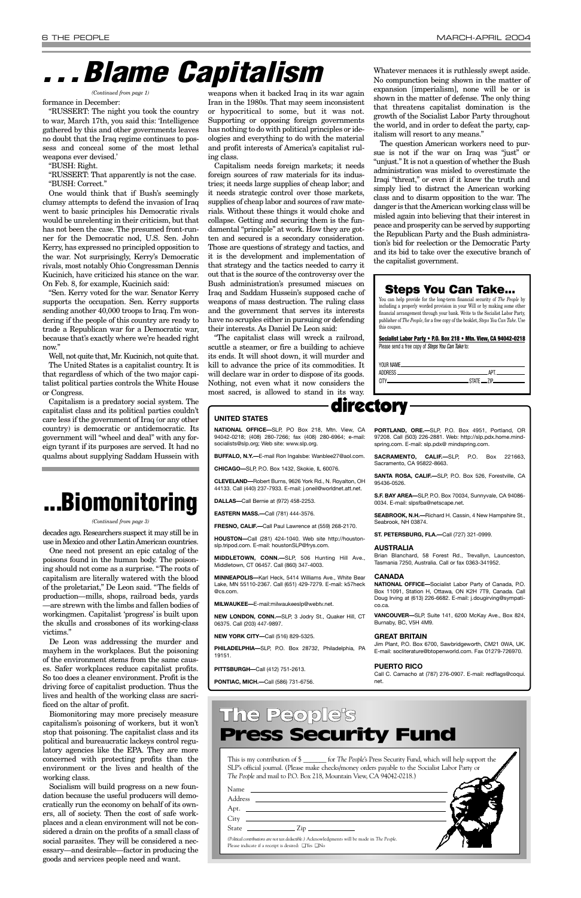formance in December:

"RUSSERT: The night you took the country to war, March 17th, you said this: 'Intelligence gathered by this and other governments leaves no doubt that the Iraq regime continues to possess and conceal some of the most lethal weapons ever devised.'

"BUSH: Right.

"RUSSERT: That apparently is not the case. "BUSH: Correct."

One would think that if Bush's seemingly clumsy attempts to defend the invasion of Iraq went to basic principles his Democratic rivals would be unrelenting in their criticism, but that has not been the case. The presumed front-runner for the Democratic nod, U.S. Sen. John Kerry, has expressed no principled opposition to the war. Not surprisingly, Kerry's Democratic rivals, most notably Ohio Congressman Dennis Kucinich, have criticized his stance on the war. On Feb. 8, for example, Kucinich said:

"Sen. Kerry voted for the war. Senator Kerry supports the occupation. Sen. Kerry supports sending another 40,000 troops to Iraq. I'm wondering if the people of this country are ready to trade a Republican war for a Democratic war, because that's exactly where we're headed right now."

Well, not quite that, Mr. Kucinich, not quite that.

The United States is a capitalist country. It is that regardless of which of the two major capitalist political parties controls the White House or Congress.

Capitalism is a predatory social system. The capitalist class and its political parties couldn't care less if the government of Iraq (or any other country) is democratic or antidemocratic. Its government will "wheel and deal" with any foreign tyrant if its purposes are served. It had no qualms about supplying Saddam Hussein with

weapons when it backed Iraq in its war again Iran in the 1980s. That may seem inconsistent or hypocritical to some, but it was not. Supporting or opposing foreign governments has nothing to do with political principles or ideologies and everything to do with the material and profit interests of America's capitalist ruling class.

Capitalism needs foreign markets; it needs foreign sources of raw materials for its industries; it needs large supplies of cheap labor; and it needs strategic control over those markets, supplies of cheap labor and sources of raw materials. Without these things it would choke and collapse. Getting and securing them is the fundamental "principle" at work. How they are gotten and secured is a secondary consideration. Those are questions of strategy and tactics, and it is the development and implementation of that strategy and the tactics needed to carry it out that is the source of the controversy over the Bush administration's presumed miscues on Iraq and Saddam Hussein's supposed cache of weapons of mass destruction. The ruling class and the government that serves its interests have no scruples either in pursuing or defending their interests. As Daniel De Leon said:

"The capitalist class will wreck a railroad, scuttle a steamer, or fire a building to achieve its ends. It will shoot down, it will murder and kill to advance the price of its commodities. It will declare war in order to dispose of its goods. Nothing, not even what it now considers the most sacred, is allowed to stand in its way.

Whatever menaces it is ruthlessly swept aside. No compunction being shown in the matter of expansion [imperialism], none will be or is shown in the matter of defense. The only thing that threatens capitalist domination is the growth of the Socialist Labor Party throughout the world, and in order to defeat the party, capitalism will resort to any means."

You can help provide for the long-term financial security of *The People* by including a properly worded provision in your Will or by making some other financial arrangement through your bank. Write to the Socialist Labor Party, publisher of *The People*, for a free copy of the booklet, *Steps You Can Take*. Use this coupon.

The question American workers need to pursue is not if the war on Iraq was "just" or "unjust." It is not a question of whether the Bush administration was misled to overestimate the Iraqi "threat," or even if it knew the truth and simply lied to distract the American working class and to disarm opposition to the war. The danger is that the American working class will be misled again into believing that their interest in peace and prosperity can be served by supporting the Republican Party and the Bush administration's bid for reelection or the Democratic Party and its bid to take over the executive branch of the capitalist government.

# *. . . Blame Capitalism*

directory

#### **UNITED STATES**

**NATIONAL OFFICE—**SLP, PO Box 218, Mtn. View, CA 94042-0218; (408) 280-7266; fax (408) 280-6964; e-mail: socialists@slp.org; Web site: www.slp.org.

**BUFFALO, N.Y.—**E-mail Ron Ingalsbe: Wanblee27@aol.com.

**CHICAGO—**SLP, P.O. Box 1432, Skokie, IL 60076.

**CLEVELAND—**Robert Burns, 9626 York Rd., N. Royalton, OH 44133. Call (440) 237-7933. E-mail: j.oneil@worldnet.att.net.

**DALLAS—**Call Bernie at (972) 458-2253.

**EASTERN MASS.—**Call (781) 444-3576.

**FRESNO, CALIF.—**Call Paul Lawrence at (559) 268-2170.

**HOUSTON—**Call (281) 424-1040. Web site http://houstonslp.tripod.com. E-mail: houstonSLP@frys.com.

**MIDDLETOWN, CONN.—**SLP, 506 Hunting Hill Ave., Middletown, CT 06457. Call (860) 347-4003.

**MINNEAPOLIS—**Karl Heck, 5414 Williams Ave., White Bear Lake, MN 55110-2367. Call (651) 429-7279. E-mail: k57heck

@cs.com.

**MILWAUKEE—**E-mail:milwaukeeslp@webtv.net.

**NEW LONDON, CONN.—**SLP, 3 Jodry St., Quaker Hill, CT 06375. Call (203) 447-9897.

**NEW YORK CITY—**Call (516) 829-5325.

**PHILADELPHIA—**SLP, P.O. Box 28732, Philadelphia, PA 19151.

**PITTSBURGH—**Call (412) 751-2613.

**PONTIAC, MICH.—**Call (586) 731-6756.

**PORTLAND, ORE.—**SLP, P.O. Box 4951, Portland, OR 97208. Call (503) 226-2881. Web: http://slp.pdx.home.mindspring.com. E-mail: slp.pdx@ mindspring.com.

**SACRAMENTO, CALIF.—**SLP, P.O. Box 221663, Sacramento, CA 95822-8663.

**SANTA ROSA, CALIF.—**SLP, P.O. Box 526, Forestville, CA 95436-0526.

**S.F. BAY AREA—**SLP, P.O. Box 70034, Sunnyvale, CA 94086- 0034. E-mail: slpsfba@netscape.net.

**SEABROOK, N.H.—**Richard H. Cassin, 4 New Hampshire St., Seabrook, NH 03874.

**ST. PETERSBURG, FLA.—**Call (727) 321-0999.

#### **AUSTRALIA**

Brian Blanchard, 58 Forest Rd., Trevallyn, Launceston, Tasmania 7250, Australia. Call or fax 0363-341952.

#### **CANADA**

**NATIONAL OFFICE—**Socialist Labor Party of Canada, P.O. Box 11091, Station H, Ottawa, ON K2H 7T9, Canada. Call Doug Irving at (613) 226-6682. E-mail: j.dougirving@sympatico.ca.

**VANCOUVER—**SLP, Suite 141, 6200 McKay Ave., Box 824, Burnaby, BC, V5H 4M9.

#### **GREAT BRITAIN**

Jim Plant, P.O. Box 6700, Sawbridgeworth, CM21 0WA, UK. E-mail: socliterature@btopenworld.com. Fax 01279-726970.

**PUERTO RICO** Call C. Camacho at (787) 276-0907. E-mail: redflags@coqui. net.

This is my contribution of \$ \_\_\_\_\_\_\_ for *The People*'s Press Security Fund, which will help support the SLP's official journal. (Please make checks/money orders payable to the Socialist Labor Party or *The People* and mail to P.O. Box 218, Mountain View, CA 94042-0218.)

| Name                                                                                                                                                           |  |
|----------------------------------------------------------------------------------------------------------------------------------------------------------------|--|
| Address                                                                                                                                                        |  |
| Apt.                                                                                                                                                           |  |
| $\operatorname{City}$                                                                                                                                          |  |
| State<br>7 <sub>in</sub>                                                                                                                                       |  |
| (Political contributions are not tax deductible.) Acknowledgments will be made in The People.<br>Please indicate if a receipt is desired: $\Box$ Yes $\Box$ No |  |

## The People's Press Security Fund

### **Steps You Can Take...**

**Socialist Labor Party • P.O. Box 218 • Mtn. View, CA 94042-0218** Please send a free copy of *Steps You Can Take* to:

| YOUR NAME |
|-----------|
| ΔРΤ       |
|           |
|           |

#### *(Continued from page 1)*

decades ago. Researchers suspect it may still be in use in Mexico and other Latin American countries.

One need not present an epic catalog of the poisons found in the human body. The poisoning should not come as a surprise. "The roots of capitalism are literally watered with the blood of the proletariat," De Leon said. "The fields of production—mills, shops, railroad beds, yards —are strewn with the limbs and fallen bodies of workingmen. Capitalist 'progress' is built upon the skulls and crossbones of its working-class victims."

De Leon was addressing the murder and mayhem in the workplaces. But the poisoning of the environment stems from the same causes. Safer workplaces reduce capitalist profits. So too does a cleaner environment. Profit is the driving force of capitalist production. Thus the lives and health of the working class are sacrificed on the altar of profit. Biomonitoring may more precisely measure capitalism's poisoning of workers, but it won't stop that poisoning. The capitalist class and its political and bureaucratic lackeys control regulatory agencies like the EPA. They are more concerned with protecting profits than the environment or the lives and health of the working class. Socialism will build progress on a new foundation because the useful producers will democratically run the economy on behalf of its owners, all of society. Then the cost of safe workplaces and a clean environment will not be considered a drain on the profits of a small class of social parasites. They will be considered a necessary—and desirable—factor in producing the goods and services people need and want.

# **. . . Biomonitoring**

#### *(Continued from page 3)*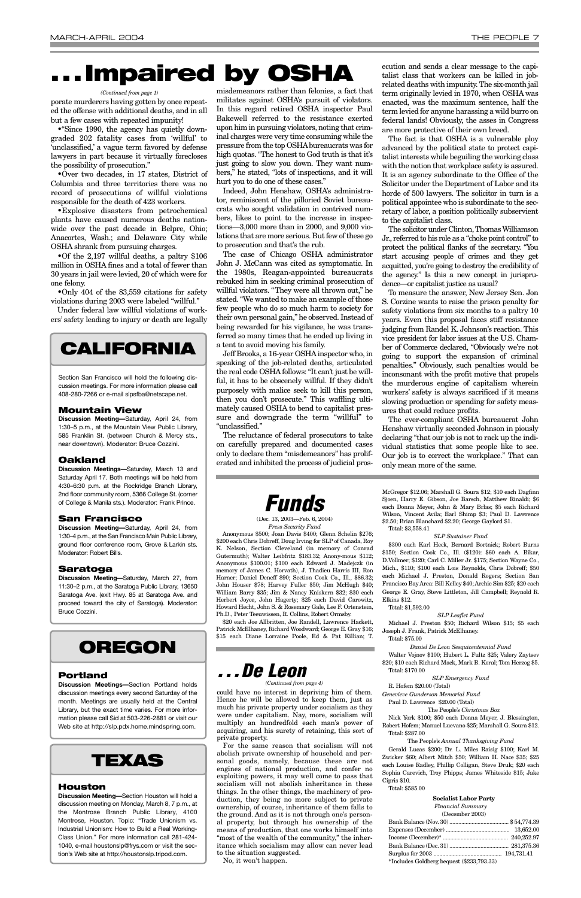(Dec. 13, 2003—Feb. 6, 2004) *Press Security Fund*

Anonymous \$500; Joan Davis \$400; Glenn Schelin \$276; \$200 each Chris Dobreff, Doug Irving for SLP of Canada, Roy K. Nelson, Section Cleveland (in memory of Conrad Gutermuth); Walter Leibfritz \$183.32; Anony-mous \$112; Anonymous \$100.01; \$100 each Edward J. Madejczk (in memory of James C. Horvath), J. Thadieu Harris III, Ron Harner; Daniel Deneff \$90; Section Cook Co., Ill., \$86.32; John Houser \$78; Harvey Fuller \$50; Jim McHugh \$40; William Barry \$35; Jim & Nancy Kniskern \$32; \$30 each Herbert Joyce, John Hagerty; \$25 each David Carowitz, Howard Hecht, John S. & Rosemary Gale, Lee F. Ortenstein, Ph.D., Peter Teeuwissen, R. Collins, Robert Ormsby.

\$20 each Joe Allbritten, Joe Randell, Lawrence Hackett, Patrick McElhaney, Richard Woodward; George E. Gray \$16; \$15 each Diane Lorraine Poole, Ed & Pat Killian; T.

McGregor \$12.06; Marshall G. Soura \$12; \$10 each Dagfinn Sjoen, Harry E. Gibson, Joe Barsch, Matthew Rinaldi; \$6 each Donna Meyer, John & Mary Brlas; \$5 each Richard Wilson, Vincent Avila; Earl Shimp \$3; Paul D. Lawrence \$2.50; Brian Blanchard \$2.20; George Gaylord \$1. Total: \$3,558.41

#### *SLP Sustainer Fund*

\$300 each Karl Heck, Bernard Bortnick; Robert Burns \$150; Section Cook Co., Ill. (\$120): \$60 each A. Bikar, D.Vollmer; \$120; Carl C. Miller Jr. \$175; Section Wayne Co., Mich., \$110; \$100 each Lois Reynolds, Chris Dobreff; \$50 each Michael J. Preston, Donald Rogers; Section San Francisco Bay Area: Bill Kelley \$40; Archie Sim \$25; \$20 each George E. Gray, Steve Littleton, Jill Campbell; Reynold R. Elkins \$12.

Total: \$1,592.00

*SLP Leaflet Fund*

Michael J. Preston \$50; Richard Wilson \$15; \$5 each Joseph J. Frank, Patrick McElhaney.

Total: \$75.00

*Daniel De Leon Sesquicentennial Fund* Walter Vojnov \$100; Hubert L. Fultz \$25; Valery Zaytsev \$20; \$10 each Richard Mack, Mark B. Koral; Tom Herzog \$5.

Total: \$170.00

*SLP Emergency Fund*

R. Hofem \$20.00 (Total)

*Genevieve Gunderson Memorial Fund*

Paul D. Lawrence \$20.00 (Total)

The People's *Christmas Box*

Nick York \$100; \$50 each Donna Meyer, J. Blessington, Robert Hofem; Manuel Luevano \$25; Marshall G. Soura \$12. Total: \$287.00

#### The People's *Annual Thanksgiving Fund*

Gerald Lucas \$200; Dr. L. Miles Raisig \$100; Karl M. Zwicker \$60; Albert Mitch \$50; William H. Nace \$35; \$25 each Louise Radley, Phillip Colligan, Steve Druk; \$20 each Sophia Carevich, Troy Phipps; James Whiteside \$15; Jake Cipris \$10.

Total: \$585.00

#### **Socialist Labor Party**

#### *Financial Summary* (December 2003)

| *Includes Goldberg bequest (\$233,793.33) |  |
|-------------------------------------------|--|

### **TEXAS**

#### **Houston**

**Discussion Meeting—**Section Houston will hold a discussion meeting on Monday, March 8, 7 p.m., at the Montrose Branch Public Library, 4100 Montrose, Houston. Topic: "Trade Unionism vs. Industrial Unionism: How to Build a Real Working-Class Union." For more information call 281-424- 1040, e-mail houstonslp@frys.com or visit the section's Web site at http://houstonslp.tripod.com.

porate murderers having gotten by once repeated the offense with additional deaths, and in all but a few cases with repeated impunity!

•"Since 1990, the agency has quietly downgraded 202 fatality cases from 'willful' to 'unclassified,' a vague term favored by defense lawyers in part because it virtually forecloses the possibility of prosecution."

•Over two decades, in 17 states, District of Columbia and three territories there was no record of prosecutions of willful violations responsible for the death of 423 workers.

•Explosive disasters from petrochemical plants have caused numerous deaths nationwide over the past decade in Belpre, Ohio; Anacortes, Wash.; and Delaware City while OSHA shrank from pursuing charges.

•Of the 2,197 willful deaths, a paltry \$106 million in OSHA fines and a total of fewer than 30 years in jail were levied, 20 of which were for one felony.

•Only 404 of the 83,559 citations for safety violations during 2003 were labeled "willful."

Under federal law willful violations of workers' safety leading to injury or death are legally misdemeanors rather than felonies, a fact that militates against OSHA's pursuit of violators. In this regard retired OSHA inspector Paul Bakewell referred to the resistance exerted upon him in pursuing violators, noting that criminal charges were very time consuming while the pressure from the top OSHAbureaucrats was for high quotas. "The honest to God truth is that it's just going to slow you down. They want numbers," he stated, "lots of inspections, and it will hurt you to do one of these cases."

Indeed, John Henshaw, OSHA's administrator, reminiscent of the pilloried Soviet bureaucrats who sought validation in contrived numbers, likes to point to the increase in inspections—3,000 more than in 2000, and 9,000 violations that are more serious. But few of these go to prosecution and that's the rub.

The case of Chicago OSHA administrator John J. McCann was cited as symptomatic. In the 1980s, Reagan-appointed bureaucrats rebuked him in seeking criminal prosecution of willful violators. "They were all thrown out," he stated. "We wanted to make an example of those few people who do so much harm to society for their own personal gain," he observed. Instead of being rewarded for his vigilance, he was transferred so many times that he ended up living in a tent to avoid moving his family.

Jeff Brooks, a 16-year OSHAinspector who, in speaking of the job-related deaths, articulated the real code OSHA follows: "It can't just be willful, it has to be obscenely willful. If they didn't purposely with malice seek to kill this person, then you don't prosecute." This waffling ultimately caused OSHA to bend to capitalist pressure and downgrade the term "willful" to "unclassified."

The reluctance of federal prosecutors to take on carefully prepared and documented cases only to declare them "misdemeanors" has proliferated and inhibited the process of judicial prosecution and sends a clear message to the capitalist class that workers can be killed in jobrelated deaths with impunity. The six-month jail term originally levied in 1970, when OSHA was enacted, was the maximum sentence, half the term levied for anyone harassing a wild burro on federal lands! Obviously, the asses in Congress are more protective of their own breed.

The fact is that OSHA is a vulnerable ploy advanced by the political state to protect capitalist interests while beguiling the working class with the notion that workplace safety is assured. It is an agency subordinate to the Office of the Solicitor under the Department of Labor and its horde of 500 lawyers. The solicitor in turn is a political appointee who is subordinate to the secretary of labor, a position politically subservient to the capitalist class.

The solicitor under Clinton, Thomas Williamson Jr., referred to his role as a "choke point control" to protect the political flanks of the secretary. "You start accusing people of crimes and they get acquitted, you're going to destroy the credibility of the agency." Is this a new concept in jurisprudence—or capitalist justice as usual?

To measure the answer, New Jersey Sen. Jon S. Corzine wants to raise the prison penalty for safety violations from six months to a paltry 10 years. Even this proposal faces stiff resistance judging from Randel K. Johnson's reaction. This vice president for labor issues at the U.S. Chamber of Commerce declared, "Obviously we're not going to support the expansion of criminal penalties." Obviously, such penalties would be inconsonant with the profit motive that propels the murderous engine of capitalism wherein workers' safety is always sacrificed if it means slowing production or spending for safety measures that could reduce profits.

The ever-compliant OSHA bureaucrat John Henshaw virtually seconded Johnson in piously declaring "that our job is not to rack up the individual statistics that some people like to see. Our job is to correct the workplace." That can only mean more of the same.

could have no interest in depriving him of them. Hence he will be allowed to keep them, just as much his private property under socialism as they were under capitalism. Nay, more, socialism will multiply an hundredfold each man's power of acquiring, and his surety of retaining, this sort of private property.

For the same reason that socialism will not abolish private ownership of household and personal goods, namely, because these are not engines of national production, and confer no exploiting powers, it may well come to pass that socialism will not abolish inheritance in these things. In the other things, the machinery of production, they being no more subject to private ownership, of course, inheritance of them falls to the ground. And as it is not through one's personal property, but through his ownership of the means of production, that one works himself into "most of the wealth of the community," the inheritance which socialism may allow can never lead to the situation suggested.

No, it won't happen.

### *. . . De Leon*

# **. . . Impaired by OSHA**



Section San Francisco will hold the following discussion meetings. For more information please call 408-280-7266 or e-mail slpsfba@netscape.net.

#### **Mountain View**

**Discussion Meeting—**Saturday, April 24, from 1:30–5 p.m., at the Mountain View Public Library, 585 Franklin St. (between Church & Mercy sts., near downtown). Moderator: Bruce Cozzini.

#### **Oakland**

**Discussion Meetings—**Saturday, March 13 and Saturday April 17. Both meetings will be held from 4:30–6:30 p.m. at the Rockridge Branch Library, 2nd floor community room, 5366 College St. (corner of College & Manila sts.). Moderator: Frank Prince.

#### **San Francisco**

**Discussion Meeting—**Saturday, April 24, from 1:30–4 p.m., at the San Francisco Main Public Library, ground floor conference room, Grove & Larkin sts. Moderator: Robert Bills.

#### **Saratoga**

**Discussion Meeting—**Saturday, March 27, from 11:30–2 p.m., at the Saratoga Public Library, 13650 Saratoga Ave. (exit Hwy. 85 at Saratoga Ave. and proceed toward the city of Saratoga). Moderator: Bruce Cozzini.



#### **Portland**

**Discussion Meetings—**Section Portland holds discussion meetings every second Saturday of the month. Meetings are usually held at the Central Library, but the exact time varies. For more information please call Sid at 503-226-2881 or visit our Web site at http://slp.pdx.home.mindspring.com.

#### *(Continued from page 1)*

#### *(Continued from page 4)*